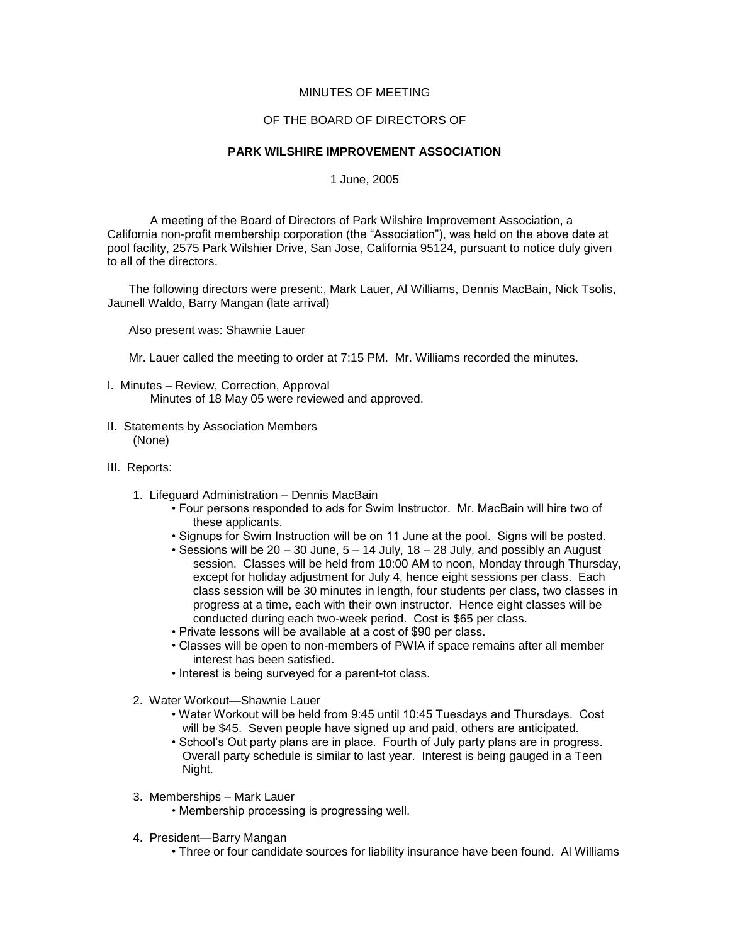## MINUTES OF MEETING

## OF THE BOARD OF DIRECTORS OF

## **PARK WILSHIRE IMPROVEMENT ASSOCIATION**

1 June, 2005

A meeting of the Board of Directors of Park Wilshire Improvement Association, a California non-profit membership corporation (the "Association"), was held on the above date at pool facility, 2575 Park Wilshier Drive, San Jose, California 95124, pursuant to notice duly given to all of the directors.

The following directors were present:, Mark Lauer, Al Williams, Dennis MacBain, Nick Tsolis, Jaunell Waldo, Barry Mangan (late arrival)

Also present was: Shawnie Lauer

Mr. Lauer called the meeting to order at 7:15 PM. Mr. Williams recorded the minutes.

- I. Minutes Review, Correction, Approval Minutes of 18 May 05 were reviewed and approved.
- II. Statements by Association Members (None)
- III. Reports:
	- 1. Lifeguard Administration Dennis MacBain
		- Four persons responded to ads for Swim Instructor. Mr. MacBain will hire two of these applicants.
		- Signups for Swim Instruction will be on 11 June at the pool. Signs will be posted.
		- Sessions will be 20 30 June, 5 14 July, 18 28 July, and possibly an August session. Classes will be held from 10:00 AM to noon, Monday through Thursday, except for holiday adjustment for July 4, hence eight sessions per class. Each class session will be 30 minutes in length, four students per class, two classes in progress at a time, each with their own instructor. Hence eight classes will be conducted during each two-week period. Cost is \$65 per class.
		- Private lessons will be available at a cost of \$90 per class.
		- Classes will be open to non-members of PWIA if space remains after all member interest has been satisfied.
		- Interest is being surveyed for a parent-tot class.
	- 2. Water Workout—Shawnie Lauer
		- Water Workout will be held from 9:45 until 10:45 Tuesdays and Thursdays. Cost will be \$45. Seven people have signed up and paid, others are anticipated.
		- School's Out party plans are in place. Fourth of July party plans are in progress. Overall party schedule is similar to last year. Interest is being gauged in a Teen Night.
	- 3. Memberships Mark Lauer
		- Membership processing is progressing well.
	- 4. President—Barry Mangan
		- Three or four candidate sources for liability insurance have been found. Al Williams